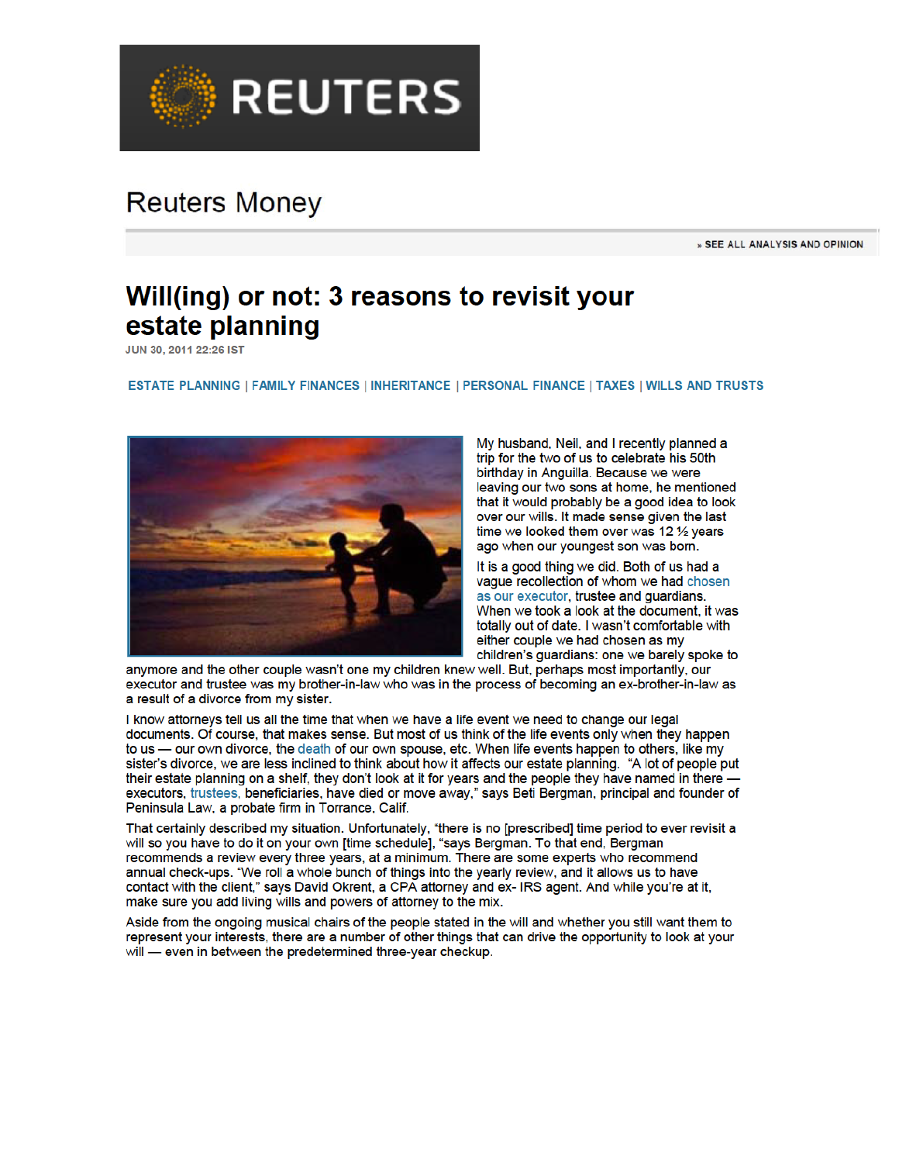

# **Reuters Money**

» SEE ALL ANALYSIS AND OPINION

# Will(ing) or not: 3 reasons to revisit your estate planning

JUN 30, 2011 22:26 IST

ESTATE PLANNING | FAMILY FINANCES | INHERITANCE | PERSONAL FINANCE | TAXES | WILLS AND TRUSTS



My husband, Neil, and I recently planned a trip for the two of us to celebrate his 50th birthday in Anguilla. Because we were leaving our two sons at home, he mentioned that it would probably be a good idea to look over our wills. It made sense given the last time we looked them over was 12 1/2 years ago when our youngest son was born.

It is a good thing we did. Both of us had a vague recollection of whom we had chosen as our executor, trustee and guardians. When we took a look at the document, it was totally out of date. I wasn't comfortable with either couple we had chosen as my children's guardians: one we barely spoke to

anymore and the other couple wasn't one my children knew well. But, perhaps most importantly, our executor and trustee was my brother-in-law who was in the process of becoming an ex-brother-in-law as a result of a divorce from my sister.

I know attorneys tell us all the time that when we have a life event we need to change our legal documents. Of course, that makes sense. But most of us think of the life events only when they happen to us — our own divorce, the death of our own spouse, etc. When life events happen to others, like my sister's divorce, we are less inclined to think about how it affects our estate planning. "A lot of people put their estate planning on a shelf, they don't look at it for years and the people they have named in there executors, trustees, beneficiaries, have died or move away," says Beti Bergman, principal and founder of Peninsula Law, a probate firm in Torrance, Calif.

That certainly described my situation. Unfortunately, "there is no [prescribed] time period to ever revisit a will so you have to do it on your own [time schedule], "says Bergman. To that end, Bergman recommends a review every three years, at a minimum. There are some experts who recommend annual check-ups. "We roll a whole bunch of things into the yearly review, and it allows us to have contact with the client," says David Okrent, a CPA attorney and ex- IRS agent. And while you're at it, make sure you add living wills and powers of attorney to the mix.

Aside from the ongoing musical chairs of the people stated in the will and whether you still want them to represent your interests, there are a number of other things that can drive the opportunity to look at your will - even in between the predetermined three-year checkup.